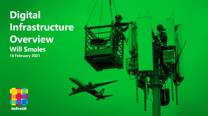**Digital Infrastructure Overview Will Smales 16 February 2021**



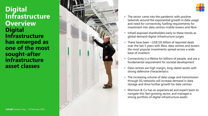## **Digital Infrastructure Overview Digital Infrastructure has emerged as one of the most sought -after infrastructure asset classes**





- The sector came into the pandemic with positive tailwinds around the exponential growth in data usage and need for connectivity, fuelling requirements for investment into data centres mobile towers and fibre
- Infratil exposed shareholders early to these trends as global demand digital infrastructure surges
- There have been ~US\$120 billion of reported deals over the last 5 years with fibre, data centres and towers the most popular investments spread across a wide base of investors
- Connectivity is a lifeline for billions of people, and are a fundamental requirement for societal development
- Data centres are high margin, long-dated assets with strong defensive characteristics
- The increasing volume of data usage and transmission through 5G networks will increase demand in data storage and drive further growth for data centres
- Morrison & Co has an experienced and expert team to navigate this fast -growing sector, and manages a strong portfolio of digital infrastructure assets